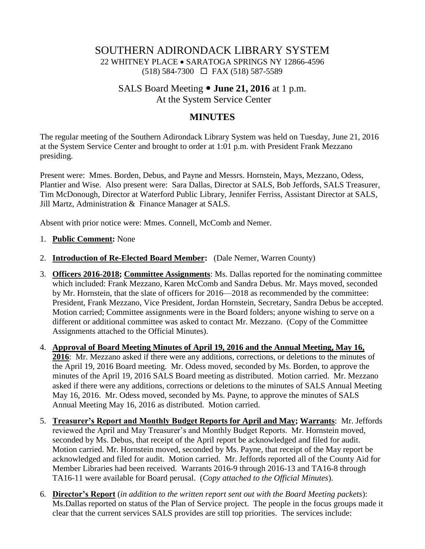## SOUTHERN ADIRONDACK LIBRARY SYSTEM 22 WHITNEY PLACE SARATOGA SPRINGS NY 12866-4596 (518) 584-7300 FAX (518) 587-5589

## SALS Board Meeting **June 21, 2016** at 1 p.m. At the System Service Center

## **MINUTES**

The regular meeting of the Southern Adirondack Library System was held on Tuesday, June 21, 2016 at the System Service Center and brought to order at 1:01 p.m. with President Frank Mezzano presiding.

Present were: Mmes. Borden, Debus, and Payne and Messrs. Hornstein, Mays, Mezzano, Odess, Plantier and Wise. Also present were: Sara Dallas, Director at SALS, Bob Jeffords, SALS Treasurer, Tim McDonough, Director at Waterford Public Library, Jennifer Ferriss, Assistant Director at SALS, Jill Martz, Administration & Finance Manager at SALS.

Absent with prior notice were: Mmes. Connell, McComb and Nemer.

- 1. **Public Comment:** None
- 2. **Introduction of Re-Elected Board Member:** (Dale Nemer, Warren County)
- 3. **Officers 2016-2018; Committee Assignments**: Ms. Dallas reported for the nominating committee which included: Frank Mezzano, Karen McComb and Sandra Debus. Mr. Mays moved, seconded by Mr. Hornstein, that the slate of officers for 2016—2018 as recommended by the committee: President, Frank Mezzano, Vice President, Jordan Hornstein, Secretary, Sandra Debus be accepted. Motion carried; Committee assignments were in the Board folders; anyone wishing to serve on a different or additional committee was asked to contact Mr. Mezzano. (Copy of the Committee Assignments attached to the Official Minutes).
- 4. **Approval of Board Meeting Minutes of April 19, 2016 and the Annual Meeting, May 16, 2016**: Mr. Mezzano asked if there were any additions, corrections, or deletions to the minutes of the April 19, 2016 Board meeting. Mr. Odess moved, seconded by Ms. Borden, to approve the minutes of the April 19, 2016 SALS Board meeting as distributed. Motion carried. Mr. Mezzano asked if there were any additions, corrections or deletions to the minutes of SALS Annual Meeting May 16, 2016. Mr. Odess moved, seconded by Ms. Payne, to approve the minutes of SALS Annual Meeting May 16, 2016 as distributed. Motion carried.
- 5. **Treasurer's Report and Monthly Budget Reports for April and May; Warrants**: Mr. Jeffords reviewed the April and May Treasurer's and Monthly Budget Reports. Mr. Hornstein moved, seconded by Ms. Debus, that receipt of the April report be acknowledged and filed for audit. Motion carried. Mr. Hornstein moved, seconded by Ms. Payne, that receipt of the May report be acknowledged and filed for audit. Motion carried. Mr. Jeffords reported all of the County Aid for Member Libraries had been received. Warrants 2016-9 through 2016-13 and TA16-8 through TA16-11 were available for Board perusal. (*Copy attached to the Official Minutes*).
- 6. **Director's Report** (*in addition to the written report sent out with the Board Meeting packets*): Ms.Dallas reported on status of the Plan of Service project. The people in the focus groups made it clear that the current services SALS provides are still top priorities. The services include: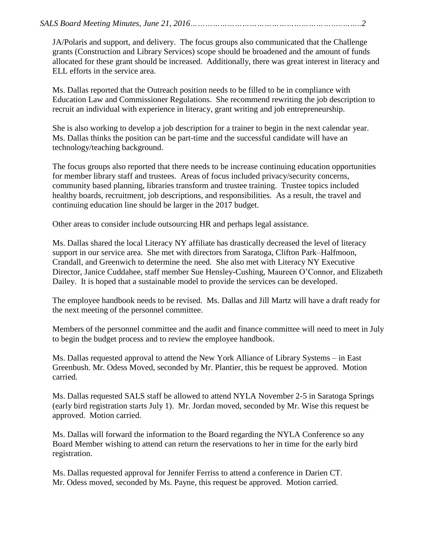JA/Polaris and support, and delivery. The focus groups also communicated that the Challenge grants (Construction and Library Services) scope should be broadened and the amount of funds allocated for these grant should be increased. Additionally, there was great interest in literacy and ELL efforts in the service area.

Ms. Dallas reported that the Outreach position needs to be filled to be in compliance with Education Law and Commissioner Regulations. She recommend rewriting the job description to recruit an individual with experience in literacy, grant writing and job entrepreneurship.

She is also working to develop a job description for a trainer to begin in the next calendar year. Ms. Dallas thinks the position can be part-time and the successful candidate will have an technology/teaching background.

The focus groups also reported that there needs to be increase continuing education opportunities for member library staff and trustees. Areas of focus included privacy/security concerns, community based planning, libraries transform and trustee training. Trustee topics included healthy boards, recruitment, job descriptions, and responsibilities. As a result, the travel and continuing education line should be larger in the 2017 budget.

Other areas to consider include outsourcing HR and perhaps legal assistance.

Ms. Dallas shared the local Literacy NY affiliate has drastically decreased the level of literacy support in our service area. She met with directors from Saratoga, Clifton Park–Halfmoon, Crandall, and Greenwich to determine the need. She also met with Literacy NY Executive Director, Janice Cuddahee, staff member Sue Hensley-Cushing, Maureen O'Connor, and Elizabeth Dailey. It is hoped that a sustainable model to provide the services can be developed.

The employee handbook needs to be revised. Ms. Dallas and Jill Martz will have a draft ready for the next meeting of the personnel committee.

Members of the personnel committee and the audit and finance committee will need to meet in July to begin the budget process and to review the employee handbook.

Ms. Dallas requested approval to attend the New York Alliance of Library Systems – in East Greenbush. Mr. Odess Moved, seconded by Mr. Plantier, this be request be approved. Motion carried.

Ms. Dallas requested SALS staff be allowed to attend NYLA November 2-5 in Saratoga Springs (early bird registration starts July 1). Mr. Jordan moved, seconded by Mr. Wise this request be approved. Motion carried.

Ms. Dallas will forward the information to the Board regarding the NYLA Conference so any Board Member wishing to attend can return the reservations to her in time for the early bird registration.

Ms. Dallas requested approval for Jennifer Ferriss to attend a conference in Darien CT. Mr. Odess moved, seconded by Ms. Payne, this request be approved. Motion carried.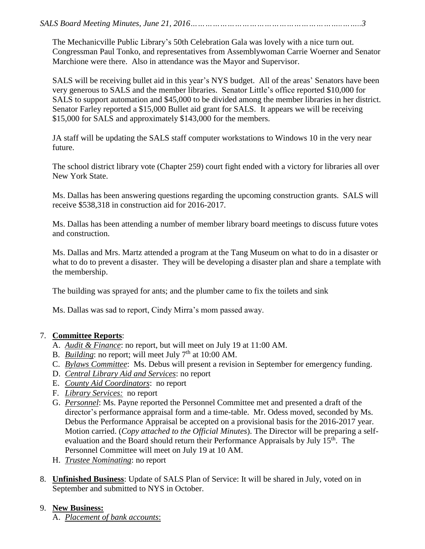The Mechanicville Public Library's 50th Celebration Gala was lovely with a nice turn out. Congressman Paul Tonko, and representatives from Assemblywoman Carrie Woerner and Senator Marchione were there. Also in attendance was the Mayor and Supervisor.

SALS will be receiving bullet aid in this year's NYS budget. All of the areas' Senators have been very generous to SALS and the member libraries. Senator Little's office reported \$10,000 for SALS to support automation and \$45,000 to be divided among the member libraries in her district. Senator Farley reported a \$15,000 Bullet aid grant for SALS. It appears we will be receiving \$15,000 for SALS and approximately \$143,000 for the members.

JA staff will be updating the SALS staff computer workstations to Windows 10 in the very near future.

The school district library vote (Chapter 259) court fight ended with a victory for libraries all over New York State.

Ms. Dallas has been answering questions regarding the upcoming construction grants. SALS will receive \$538,318 in construction aid for 2016-2017.

Ms. Dallas has been attending a number of member library board meetings to discuss future votes and construction.

Ms. Dallas and Mrs. Martz attended a program at the Tang Museum on what to do in a disaster or what to do to prevent a disaster. They will be developing a disaster plan and share a template with the membership.

The building was sprayed for ants; and the plumber came to fix the toilets and sink

Ms. Dallas was sad to report, Cindy Mirra's mom passed away.

## 7. **Committee Reports**:

- A. *Audit & Finance*: no report, but will meet on July 19 at 11:00 AM.
- B. *Building*: no report; will meet July 7<sup>th</sup> at 10:00 AM.
- C. *Bylaws Committee*: Ms. Debus will present a revision in September for emergency funding.
- D. *Central Library Aid and Services*: no report
- E. *County Aid Coordinators*: no report
- F. *Library Services:* no report
- G. *Personnel*: Ms. Payne reported the Personnel Committee met and presented a draft of the director's performance appraisal form and a time-table. Mr. Odess moved, seconded by Ms. Debus the Performance Appraisal be accepted on a provisional basis for the 2016-2017 year. Motion carried. (*Copy attached to the Official Minutes*). The Director will be preparing a selfevaluation and the Board should return their Performance Appraisals by July 15<sup>th</sup>. The Personnel Committee will meet on July 19 at 10 AM.
- H. *Trustee Nominating*: no report
- 8. **Unfinished Business**: Update of SALS Plan of Service: It will be shared in July, voted on in September and submitted to NYS in October.
- 9. **New Business:**
	- A. *Placement of bank accounts*: